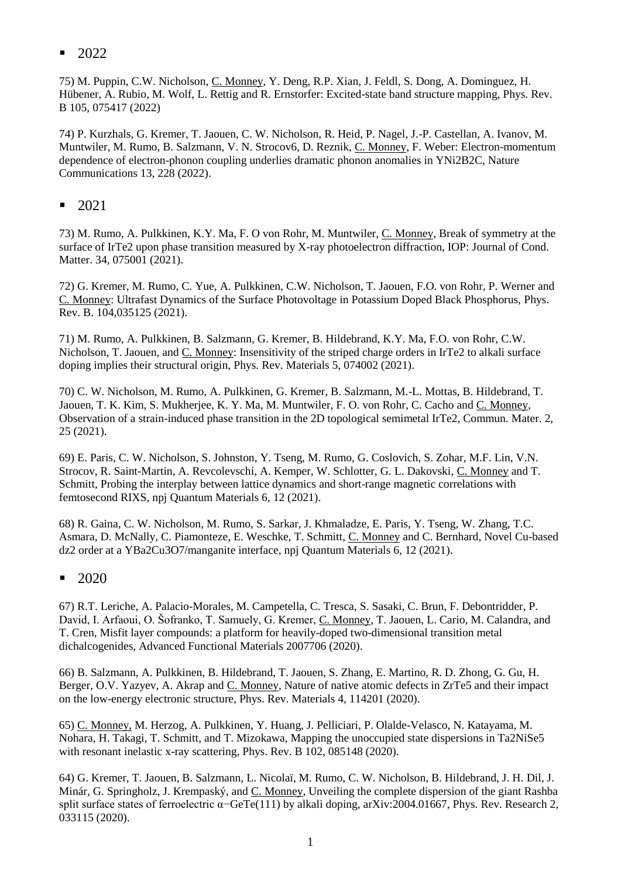$\blacksquare$  2022

75) M. Puppin, C.W. Nicholson, C. Monney, Y. Deng, R.P. Xian, J. Feldl, S. Dong, A. Dominguez, H. Hübener, A. Rubio, M. Wolf, L. Rettig and R. Ernstorfer: Excited-state band structure mapping, Phys. Rev. B 105, 075417 (2022)

74) P. Kurzhals, G. Kremer, T. Jaouen, C. W. Nicholson, R. Heid, P. Nagel, J.-P. Castellan, A. Ivanov, M. Muntwiler, M. Rumo, B. Salzmann, V. N. Strocov6, D. Reznik, C. Monney, F. Weber: Electron-momentum dependence of electron-phonon coupling underlies dramatic phonon anomalies in YNi2B2C, Nature Communications 13, 228 (2022).

▪ 2021

73) M. Rumo, A. Pulkkinen, K.Y. Ma, F. O von Rohr, M. Muntwiler, C. Monney, Break of symmetry at the surface of IrTe2 upon phase transition measured by X-ray photoelectron diffraction, IOP: Journal of Cond. Matter. 34, 075001 (2021).

72) G. Kremer, M. Rumo, C. Yue, A. Pulkkinen, C.W. Nicholson, T. Jaouen, F.O. von Rohr, P. Werner and C. Monney: Ultrafast Dynamics of the Surface Photovoltage in Potassium Doped Black Phosphorus, [Phys.](https://www.google.com/url?q=https%3A%2F%2Flink.aps.org%2Fdoi%2F10.1103%2FPhysRevB.104.035125&sa=D&sntz=1&usg=AFQjCNFxQVeBfU1b6gik7m9oCbuhV6oDEA)  [Rev. B. 104,035125](https://www.google.com/url?q=https%3A%2F%2Flink.aps.org%2Fdoi%2F10.1103%2FPhysRevB.104.035125&sa=D&sntz=1&usg=AFQjCNFxQVeBfU1b6gik7m9oCbuhV6oDEA) (2021).

71) M. Rumo, A. Pulkkinen, B. Salzmann, G. Kremer, B. Hildebrand, K.Y. Ma, F.O. von Rohr, C.W. Nicholson, T. Jaouen, and C. Monney: Insensitivity of the striped charge orders in IrTe2 to alkali surface doping implies their structural origin, [Phys. Rev. Materials 5, 074002](https://www.google.com/url?q=https%3A%2F%2Fjournals.aps.org%2Fprmaterials%2Fabstract%2F10.1103%2FPhysRevMaterials.5.074002&sa=D&sntz=1&usg=AFQjCNE8uqwT0t1vLIo-Q1duCN3cTgfpXw) (2021).

70) C. W. Nicholson, M. Rumo, A. Pulkkinen, G. Kremer, B. Salzmann, M.-L. Mottas, B. Hildebrand, T. Jaouen, T. K. Kim, S. Mukherjee, K. Y. Ma, M. Muntwiler, F. O. von Rohr, C. Cacho and C. Monney, Observation of a strain-induced phase transition in the 2D topological semimetal IrTe2, Commun. Mater. 2, 25 (2021).

69) E. Paris, C. W. Nicholson, S. Johnston, Y. Tseng, M. Rumo, G. Coslovich, S. Zohar, M.F. Lin, V.N. Strocov, R. Saint-Martin, A. Revcolevschi, A. Kemper, W. Schlotter, G. L. Dakovski, C. Monney and T. Schmitt, Probing the interplay between lattice dynamics and short-range magnetic correlations with femtosecond RIXS, npj Quantum Materials 6, 12 (2021).

68) R. Gaina, C. W. Nicholson, M. Rumo, S. Sarkar, J. Khmaladze, E. Paris, Y. Tseng, W. Zhang, T.C. Asmara, D. McNally, C. Piamonteze, E. Weschke, T. Schmitt, C. Monney and C. Bernhard, Novel Cu-based dz2 order at a YBa2Cu3O7/manganite interface, npj Quantum Materials 6, 12 (2021).

 $-2020$ 

67) R.T. Leriche, A. Palacio-Morales, M. Campetella, C. Tresca, S. Sasaki, C. Brun, F. Debontridder, P. David, I. Arfaoui, O. Šofranko, T. Samuely, G. Kremer, C. Monney, T. Jaouen, L. Cario, M. Calandra, and T. Cren, Misfit layer compounds: a platform for heavily-doped two-dimensional transition metal dichalcogenides, Advanced Functional Materials 2007706 (2020).

66) B. Salzmann, A. Pulkkinen, B. Hildebrand, T. Jaouen, S. Zhang, E. Martino, R. D. Zhong, G. Gu, H. Berger, O.V. Yazyev, A. Akrap and C. Monney, Nature of native atomic defects in ZrTe5 and their impact on the low-energy electronic structure, Phys. Rev. Materials 4, 114201 (2020).

65) C. Monney, M. Herzog, A. Pulkkinen, Y. Huang, J. Pelliciari, P. Olalde-Velasco, N. Katayama, M. Nohara, H. Takagi, T. Schmitt, and T. Mizokawa, Mapping the unoccupied state dispersions in Ta2NiSe5 with resonant inelastic x-ray scattering, Phys. Rev. B 102, 085148 (2020).

64) G. Kremer, T. Jaouen, B. Salzmann, L. Nicolaï, M. Rumo, C. W. Nicholson, B. Hildebrand, J. H. Dil, J. Minár, G. Springholz, J. Krempaský, and C. Monney, Unveiling the complete dispersion of the giant Rashba split surface states of ferroelectric α–GeTe(111) by alkali doping, arXiv:2004.01667, Phys. Rev. Research 2, 033115 (2020).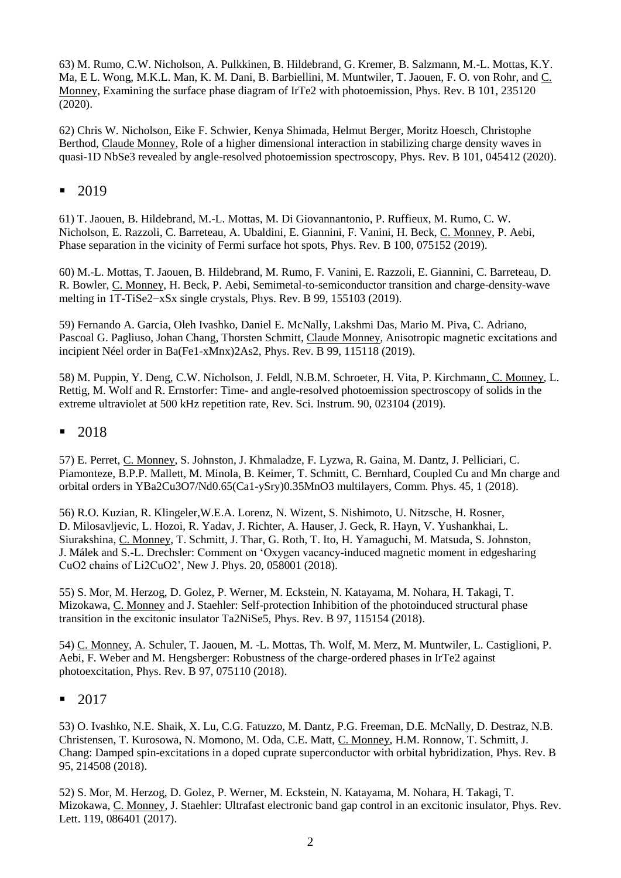63) M. Rumo, C.W. Nicholson, A. Pulkkinen, B. Hildebrand, G. Kremer, B. Salzmann, M.-L. Mottas, K.Y. Ma, E L. Wong, M.K.L. Man, K. M. Dani, B. Barbiellini, M. Muntwiler, T. Jaouen, F. O. von Rohr, and C. Monney, Examining the surface phase diagram of IrTe2 with photoemission, Phys. Rev. B 101, 235120 (2020).

62) Chris W. Nicholson, Eike F. Schwier, Kenya Shimada, Helmut Berger, Moritz Hoesch, Christophe Berthod, Claude Monney, Role of a higher dimensional interaction in stabilizing charge density waves in quasi-1D NbSe3 revealed by angle-resolved photoemission spectroscopy, Phys. Rev. B 101, 045412 (2020).

## ■ 2019

61) T. Jaouen, B. Hildebrand, M.-L. Mottas, M. Di Giovannantonio, P. Ruffieux, M. Rumo, C. W. Nicholson, E. Razzoli, C. Barreteau, A. Ubaldini, E. Giannini, F. Vanini, H. Beck, C. Monney, P. Aebi, Phase separation in the vicinity of Fermi surface hot spots, Phys. Rev. B 100, 075152 (2019).

60) M.-L. Mottas, T. Jaouen, B. Hildebrand, M. Rumo, F. Vanini, E. Razzoli, E. Giannini, C. Barreteau, D. R. Bowler, C. Monney, H. Beck, P. Aebi, Semimetal-to-semiconductor transition and charge-density-wave melting in 1T-TiSe2−xSx single crystals, Phys. Rev. B 99, 155103 (2019).

59) Fernando A. Garcia, Oleh Ivashko, Daniel E. McNally, Lakshmi Das, Mario M. Piva, C. Adriano, Pascoal G. Pagliuso, Johan Chang, Thorsten Schmitt, Claude Monney, Anisotropic magnetic excitations and incipient Néel order in Ba(Fe1-xMnx)2As2, Phys. Rev. B 99, 115118 (2019).

58) M. Puppin, Y. Deng, C.W. Nicholson, J. Feldl, N.B.M. Schroeter, H. Vita, P. Kirchmann, C. Monney, L. Rettig, M. Wolf and R. Ernstorfer: Time- and angle-resolved photoemission spectroscopy of solids in the extreme ultraviolet at 500 kHz repetition rate, Rev. Sci. Instrum. 90, 023104 (2019).

### ■ 2018

57) E. Perret, C. Monney, S. Johnston, J. Khmaladze, F. Lyzwa, R. Gaina, M. Dantz, J. Pelliciari, C. Piamonteze, B.P.P. Mallett, M. Minola, B. Keimer, T. Schmitt, C. Bernhard, Coupled Cu and Mn charge and orbital orders in YBa2Cu3O7/Nd0.65(Ca1-ySry)0.35MnO3 multilayers, Comm. Phys. 45, 1 (2018).

56) R.O. Kuzian, R. Klingeler,W.E.A. Lorenz, N. Wizent, S. Nishimoto, U. Nitzsche, H. Rosner, D. Milosavljevic, L. Hozoi, R. Yadav, J. Richter, A. Hauser, J. Geck, R. Hayn, V. Yushankhai, L. Siurakshina, C. Monney, T. Schmitt, J. Thar, G. Roth, T. Ito, H. Yamaguchi, M. Matsuda, S. Johnston, J. Málek and S.-L. Drechsler: Comment on 'Oxygen vacancy-induced magnetic moment in edgesharing CuO2 chains of Li2CuO2', New J. Phys. 20, 058001 (2018).

55) S. Mor, M. Herzog, D. Golez, P. Werner, M. Eckstein, N. Katayama, M. Nohara, H. Takagi, T. Mizokawa, C. Monney and J. Staehler: Self-protection Inhibition of the photoinduced structural phase transition in the excitonic insulator Ta2NiSe5, Phys. Rev. B 97, 115154 (2018).

54) C. Monney, A. Schuler, T. Jaouen, M. -L. Mottas, Th. Wolf, M. Merz, M. Muntwiler, L. Castiglioni, P. Aebi, F. Weber and M. Hengsberger: Robustness of the charge-ordered phases in IrTe2 against photoexcitation, Phys. Rev. B 97, 075110 (2018).

### ■ 2017

53) O. Ivashko, N.E. Shaik, X. Lu, C.G. Fatuzzo, M. Dantz, P.G. Freeman, D.E. McNally, D. Destraz, N.B. Christensen, T. Kurosowa, N. Momono, M. Oda, C.E. Matt, C. Monney, H.M. Ronnow, T. Schmitt, J. Chang: Damped spin-excitations in a doped cuprate superconductor with orbital hybridization, Phys. Rev. B 95, 214508 (2018).

52) S. Mor, M. Herzog, D. Golez, P. Werner, M. Eckstein, N. Katayama, M. Nohara, H. Takagi, T. Mizokawa, C. Monney, J. Staehler: Ultrafast electronic band gap control in an excitonic insulator, Phys. Rev. Lett. 119, 086401 (2017).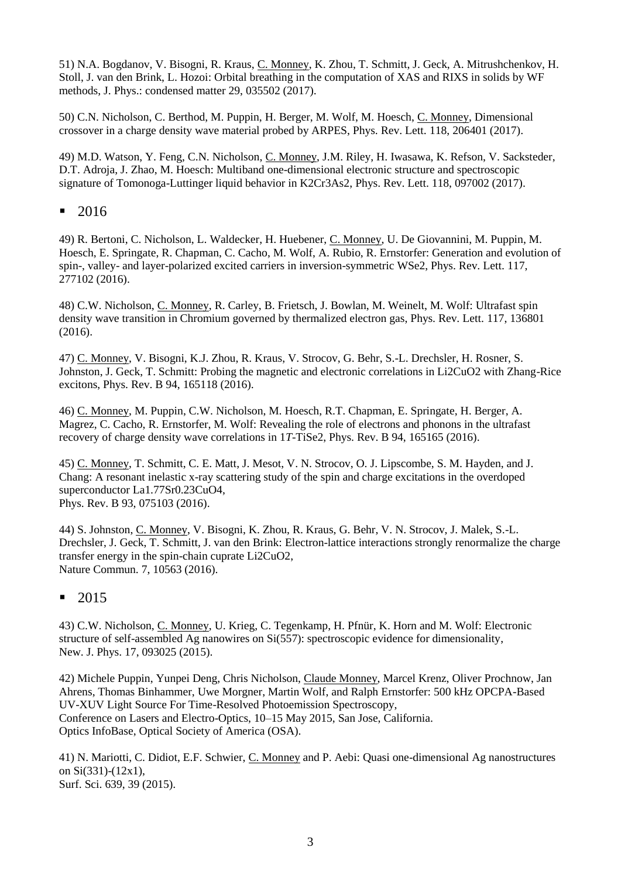51) N.A. Bogdanov, V. Bisogni, R. Kraus, C. Monney, K. Zhou, T. Schmitt, J. Geck, A. Mitrushchenkov, H. Stoll, J. van den Brink, L. Hozoi: Orbital breathing in the computation of XAS and RIXS in solids by WF methods, J. Phys.: condensed matter 29, 035502 (2017).

50) C.N. Nicholson, C. Berthod, M. Puppin, H. Berger, M. Wolf, M. Hoesch, C. Monney, Dimensional crossover in a charge density wave material probed by ARPES, Phys. Rev. Lett. 118, 206401 (2017).

49) M.D. Watson, Y. Feng, C.N. Nicholson, C. Monney, J.M. Riley, H. Iwasawa, K. Refson, V. Sacksteder, D.T. Adroja, J. Zhao, M. Hoesch: Multiband one-dimensional electronic structure and spectroscopic signature of Tomonoga-Luttinger liquid behavior in K2Cr3As2, Phys. Rev. Lett. 118, 097002 (2017).

## ▪ 2016

49) R. Bertoni, C. Nicholson, L. Waldecker, H. Huebener, C. Monney, U. De Giovannini, M. Puppin, M. Hoesch, E. Springate, R. Chapman, C. Cacho, M. Wolf, A. Rubio, R. Ernstorfer: Generation and evolution of spin-, valley- and layer-polarized excited carriers in inversion-symmetric WSe2, Phys. Rev. Lett. 117, 277102 (2016).

48) C.W. Nicholson, C. Monney, R. Carley, B. Frietsch, J. Bowlan, M. Weinelt, M. Wolf: Ultrafast spin density wave transition in Chromium governed by thermalized electron gas, Phys. Rev. Lett. 117, 136801 (2016).

47) C. Monney, V. Bisogni, K.J. Zhou, R. Kraus, V. Strocov, G. Behr, S.-L. Drechsler, H. Rosner, S. Johnston, J. Geck, T. Schmitt: Probing the magnetic and electronic correlations in Li2CuO2 with Zhang-Rice excitons, Phys. Rev. B 94, 165118 (2016).

46) C. Monney, M. Puppin, C.W. Nicholson, M. Hoesch, R.T. Chapman, E. Springate, H. Berger, A. Magrez, C. Cacho, R. Ernstorfer, M. Wolf: Revealing the role of electrons and phonons in the ultrafast recovery of charge density wave correlations in 1*T*-TiSe2, Phys. Rev. B 94, 165165 (2016).

45) C. Monney, T. Schmitt, C. E. Matt, J. Mesot, V. N. Strocov, O. J. Lipscombe, S. M. Hayden, and J. Chang: A resonant inelastic x-ray scattering study of the spin and charge excitations in the overdoped superconductor La1.77Sr0.23CuO4, Phys. Rev. B 93, 075103 (2016).

44) S. Johnston, C. Monney, V. Bisogni, K. Zhou, R. Kraus, G. Behr, V. N. Strocov, J. Malek, S.-L. Drechsler, J. Geck, T. Schmitt, J. van den Brink: Electron-lattice interactions strongly renormalize the charge transfer energy in the spin-chain cuprate Li2CuO2, Nature Commun. 7, 10563 (2016).

## ▪ 2015

43) [C.W. Nicholson,](http://iopscience.iop.org/search?searchType=fullText&fieldedquery=C+W+Nicholson&f=author&time=all&issn=) [C. Monney,](http://iopscience.iop.org/search?searchType=fullText&fieldedquery=C+Monney&f=author&time=all&issn=) [U. Krieg,](http://iopscience.iop.org/search?searchType=fullText&fieldedquery=U+Krieg&f=author&time=all&issn=) [C. Tegenkamp,](http://iopscience.iop.org/search?searchType=fullText&fieldedquery=C+Tegenkamp&f=author&time=all&issn=) [H. Pfnür,](http://iopscience.iop.org/search?searchType=fullText&fieldedquery=H+Pfn%C3%BCr&f=author&time=all&issn=) [K. Horn](http://iopscience.iop.org/search?searchType=fullText&fieldedquery=K+Horn&f=author&time=all&issn=) and [M. Wolf:](http://iopscience.iop.org/search?searchType=fullText&fieldedquery=M+Wolf&f=author&time=all&issn=) [Electronic](http://iopscience.iop.org/1367-2630/17/9/093025?fromSearchPage=true)  [structure of self-assembled Ag nanowires on Si\(557\): spectroscopic evidence for dimensionality,](http://iopscience.iop.org/1367-2630/17/9/093025?fromSearchPage=true) New. J. Phys. 17, 093025 (2015).

42) Michele Puppin, Yunpei Deng, Chris Nicholson, Claude Monney, Marcel Krenz, Oliver Prochnow, Jan Ahrens, Thomas Binhammer, Uwe Morgner, Martin Wolf, and Ralph Ernstorfer: 500 kHz OPCPA-Based UV-XUV Light Source For Time-Resolved Photoemission Spectroscopy, Conference on Lasers and Electro-Optics, 10–15 May 2015, San Jose, California. Optics InfoBase, Optical Society of America (OSA).

41) N. Mariotti, C. Didiot, E.F. Schwier, C. Monney and P. Aebi: Quasi one-dimensional Ag nanostructures on Si(331)-(12x1), Surf. Sci. 639, 39 (2015).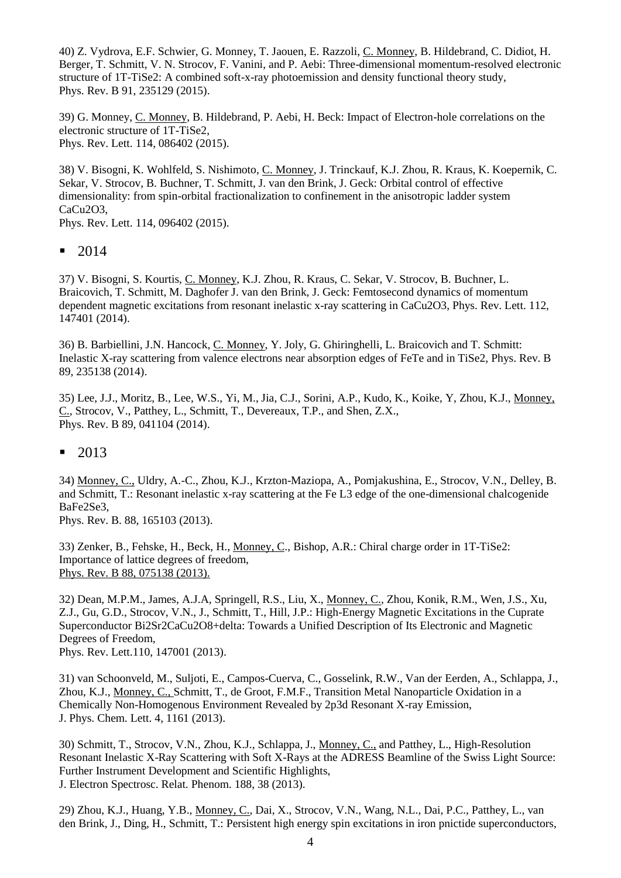40) Z. Vydrova, E.F. Schwier, G. Monney, T. Jaouen, E. Razzoli, C. Monney, B. Hildebrand, C. Didiot, H. Berger, T. Schmitt, V. N. Strocov, F. Vanini, and P. Aebi: Three-dimensional momentum-resolved electronic structure of 1T-TiSe2: A combined soft-x-ray photoemission and density functional theory study, Phys. Rev. B 91, 235129 (2015).

39) G. Monney, C. Monney, B. Hildebrand, P. Aebi, H. Beck: Impact of Electron-hole correlations on the electronic structure of 1T-TiSe2, Phys. Rev. Lett. 114, 086402 (2015).

38) V. Bisogni, K. Wohlfeld, S. Nishimoto, C. Monney, J. Trinckauf, K.J. Zhou, R. Kraus, K. Koepernik, C. Sekar, V. Strocov, B. Buchner, T. Schmitt, J. van den Brink, J. Geck: Orbital control of effective dimensionality: from spin-orbital fractionalization to confinement in the anisotropic ladder system CaCu2O3,

Phys. Rev. Lett. 114, 096402 (2015).

■ 2014

37) V. Bisogni, S. Kourtis, C. Monney, K.J. Zhou, R. Kraus, C. Sekar, V. Strocov, B. Buchner, L. Braicovich, T. Schmitt, M. Daghofer J. van den Brink, J. Geck: Femtosecond dynamics of momentum dependent magnetic excitations from resonant inelastic x-ray scattering in CaCu2O3, Phys. Rev. Lett. 112, 147401 (2014).

36) B. Barbiellini, J.N. Hancock, C. Monney, Y. Joly, G. Ghiringhelli, L. Braicovich and T. Schmitt: Inelastic X-ray scattering from valence electrons near absorption edges of FeTe and in TiSe2, Phys. Rev. B 89, 235138 (2014).

35) [Lee,](http://publish.aps.org/search/field/author/J.%20J.%20Lee) J.J., Moritz, B., Lee, W.S., [Yi,](http://publish.aps.org/search/field/author/M.%20Yi) M.[, Jia,](http://publish.aps.org/search/field/author/C.%20J.%20Jia) C.J., [Sorini,](http://publish.aps.org/search/field/author/A.%20P.%20Sorini) A.P., [Kudo,](http://publish.aps.org/search/field/author/K.%20Kudo) [K., Koike,](http://publish.aps.org/search/field/author/Y.%20Koike) Y, [Zhou,](http://publish.aps.org/search/field/author/K.%20J.%20Zhou) K.J., [Monney,](http://publish.aps.org/search/field/author/C.%20Monney) C[., Strocov,](http://publish.aps.org/search/field/author/V.%20Strocov) V., [Patthey,](http://publish.aps.org/search/field/author/L.%20Patthey) [L., Schmitt,](http://publish.aps.org/search/field/author/T.%20Schmitt) [T., Devereaux,](http://publish.aps.org/search/field/author/T.%20P.%20Devereaux) T.P., and Shen, Z.X., Phys. Rev. B 89, 041104 (2014).

▪ 2013

34) Monney, C., Uldry, A.-C., Zhou, K.J., Krzton-Maziopa, A., Pomjakushina, E., Strocov, V.N., Delley, B. and Schmitt, T.: Resonant inelastic x-ray scattering at the Fe L3 edge of the one-dimensional chalcogenide BaFe2Se3,

Phys. Rev. B. 88, 165103 (2013).

33) [Zenker,](http://publish.aps.org/search/field/author/B.%20Zenker) B., [Fehske,](http://publish.aps.org/search/field/author/H.%20Fehske) [H., Beck,](http://publish.aps.org/search/field/author/H.%20Beck) H., [Monney,](http://publish.aps.org/search/field/author/C.%20Monney) C., [Bishop,](http://publish.aps.org/search/field/author/A.%20R.%20Bishop) A.R.: Chiral charge order in 1T-TiSe2: Importance of lattice degrees of freedom, Phys. Rev. B 88, 075138 (2013).

32) Dean, M.P.M., James, A.J.A, Springell, R.S., Liu, X., Monney, C., Zhou, Konik, R.M., Wen, J.S., Xu, Z.J., Gu, G.D., Strocov, V.N., J., Schmitt, T., Hill, J.P.: High-Energy Magnetic Excitations in the Cuprate Superconductor Bi2Sr2CaCu2O8+delta: Towards a Unified Description of Its Electronic and Magnetic Degrees of Freedom,

Phys. Rev. Lett.110, 147001 (2013).

31) van Schoonveld, M., Suljoti, E., Campos-Cuerva, C., Gosselink, R.W., Van der Eerden, A., Schlappa, J., Zhou, K.J., Monney, C., Schmitt, T., de Groot, F.M.F., Transition Metal Nanoparticle Oxidation in a Chemically Non-Homogenous Environment Revealed by 2p3d Resonant X-ray Emission, J. Phys. Chem. Lett. 4, 1161 (2013).

30) Schmitt, T., Strocov, V.N., Zhou, K.J., Schlappa, J., Monney, C., and Patthey, L., High-Resolution Resonant Inelastic X-Ray Scattering with Soft X-Rays at the ADRESS Beamline of the Swiss Light Source: Further Instrument Development and Scientific Highlights, J. Electron Spectrosc. Relat. Phenom. 188, 38 (2013).

29) Zhou, K.J., Huang, Y.B., Monney, C., Dai, X., Strocov, V.N., Wang, N.L., Dai, P.C., Patthey, L., van den Brink, J., Ding, H., Schmitt, T.: Persistent high energy spin excitations in iron pnictide superconductors,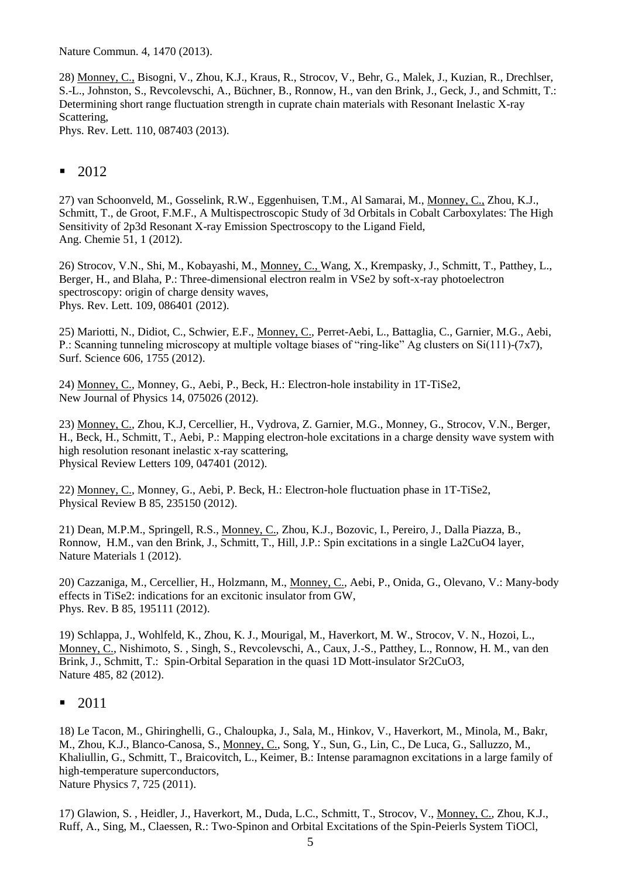Nature Commun. 4, 1470 (2013).

28) Monney, C., Bisogni, V., Zhou, K.J., Kraus, R., Strocov, V., Behr, G., Malek, J., Kuzian, R., Drechlser, S.-L., Johnston, S., Revcolevschi, A., Büchner, B., Ronnow, H., van den Brink, J., Geck, J., and Schmitt, T.: Determining short range fluctuation strength in cuprate chain materials with Resonant Inelastic X-ray Scattering,

Phys. Rev. Lett. 110, 087403 (2013).

# ■ 2012

27) van Schoonveld, M., Gosselink, R.W., Eggenhuisen, T.M., Al Samarai, M., Monney, C., Zhou, K.J., Schmitt, T., de Groot, F.M.F., A Multispectroscopic Study of 3d Orbitals in Cobalt Carboxylates: The High Sensitivity of 2p3d Resonant X-ray Emission Spectroscopy to the Ligand Field, Ang. Chemie 51, 1 (2012).

26) Strocov, V.N., Shi, M., Kobayashi, M., Monney, C., Wang, X., Krempasky, J., Schmitt, T., Patthey, L., Berger, H., and Blaha, P.: Three-dimensional electron realm in VSe2 by soft-x-ray photoelectron spectroscopy: origin of charge density waves, Phys. Rev. Lett. 109, 086401 (2012).

25) Mariotti, N., Didiot, C., Schwier, E.F., Monney, C., Perret-Aebi, L., Battaglia, C., Garnier, M.G., Aebi, P.: Scanning tunneling microscopy at multiple voltage biases of "ring-like" Ag clusters on Si(111)-(7x7), Surf. Science 606, 1755 (2012).

24) Monney, C., Monney, G., Aebi, P., Beck, H.: Electron-hole instability in 1T-TiSe2, New Journal of Physics 14, 075026 (2012).

23) Monney, C., Zhou, K.J, Cercellier, H., Vydrova, Z. Garnier, M.G., Monney, G., Strocov, V.N., Berger, H., Beck, H., Schmitt, T., Aebi, P.: Mapping electron-hole excitations in a charge density wave system with high resolution resonant inelastic x-ray scattering, Physical Review Letters 109, 047401 (2012).

22) Monney, C., Monney, G., Aebi, P. Beck, H.: Electron-hole fluctuation phase in 1T-TiSe2, Physical Review B 85, 235150 (2012).

21) Dean, M.P.M., Springell, R.S., Monney, C., Zhou, K.J., Bozovic, I., Pereiro, J., Dalla Piazza, B., Ronnow, H.M., van den Brink, J., Schmitt, T., Hill, J.P.: Spin excitations in a single La2CuO4 layer, Nature Materials 1 (2012).

20) Cazzaniga, M., Cercellier, H., Holzmann, M., Monney, C., Aebi, P., Onida, G., Olevano, V.: Many-body effects in TiSe2: indications for an excitonic insulator from GW, Phys. Rev. B 85, 195111 (2012).

19) Schlappa, J., Wohlfeld, K., Zhou, K. J., Mourigal, M., Haverkort, M. W., Strocov, V. N., Hozoi, L., Monney, C., Nishimoto, S. , Singh, S., Revcolevschi, A., Caux, J.-S., Patthey, L., Ronnow, H. M., van den Brink, J., Schmitt, T.: Spin-Orbital Separation in the quasi 1D Mott-insulator Sr2CuO3, Nature 485, 82 (2012).

### ▪ 2011

18) Le Tacon, M., Ghiringhelli, G., Chaloupka, J., Sala, M., Hinkov, V., Haverkort, M., Minola, M., Bakr, M., Zhou, K.J., Blanco-Canosa, S., Monney, C., Song, Y., Sun, G., Lin, C., De Luca, G., Salluzzo, M., Khaliullin, G., Schmitt, T., Braicovitch, L., Keimer, B.: Intense paramagnon excitations in a large family of high-temperature superconductors, Nature Physics 7, 725 (2011).

17) Glawion, S. , Heidler, J., Haverkort, M., Duda, L.C., Schmitt, T., Strocov, V., Monney, C., Zhou, K.J., Ruff, A., Sing, M., Claessen, R.: Two-Spinon and Orbital Excitations of the Spin-Peierls System TiOCl,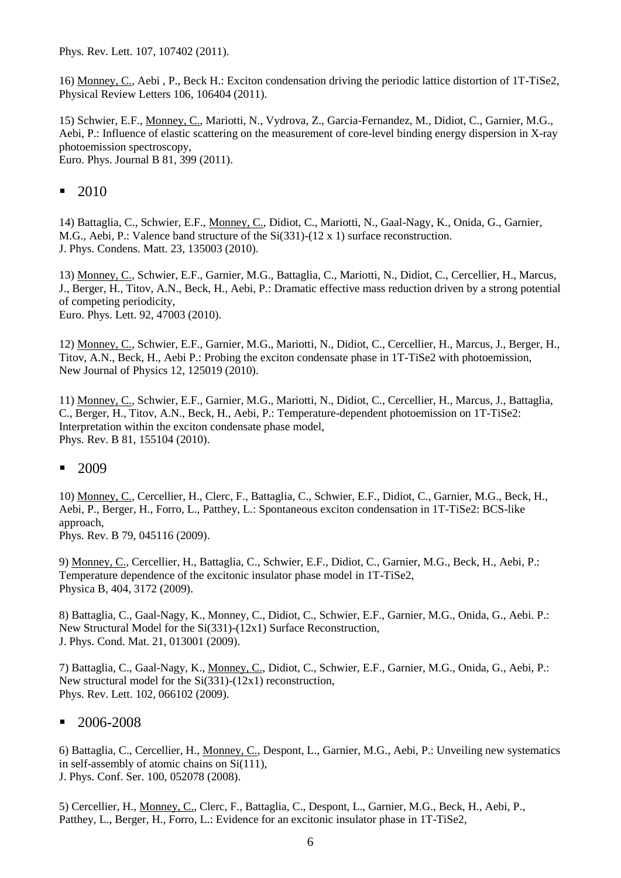Phys. Rev. Lett. 107, 107402 (2011).

16) Monney, C., Aebi , P., Beck H.: Exciton condensation driving the periodic lattice distortion of 1T-TiSe2, Physical Review Letters 106, 106404 (2011).

15) Schwier, E.F., Monney, C., Mariotti, N., Vydrova, Z., Garcia-Fernandez, M., Didiot, C., Garnier, M.G., Aebi, P.: Influence of elastic scattering on the measurement of core-level binding energy dispersion in X-ray photoemission spectroscopy, Euro. Phys. Journal B 81, 399 (2011).

▪ 2010

14) Battaglia, C., Schwier, E.F., Monney, C., Didiot, C., Mariotti, N., Gaal-Nagy, K., Onida, G., Garnier, M.G., Aebi, P.: Valence band structure of the Si(331)-(12 x 1) surface reconstruction. J. Phys. Condens. Matt. 23, 135003 (2010).

13) Monney, C., Schwier, E.F., Garnier, M.G., Battaglia, C., Mariotti, N., Didiot, C., Cercellier, H., Marcus, J., Berger, H., Titov, A.N., Beck, H., Aebi, P.: Dramatic effective mass reduction driven by a strong potential of competing periodicity, Euro. Phys. Lett. 92, 47003 (2010).

12) Monney, C., Schwier, E.F., Garnier, M.G., Mariotti, N., Didiot, C., Cercellier, H., Marcus, J., Berger, H., Titov, A.N., Beck, H., Aebi P.: Probing the exciton condensate phase in 1T-TiSe2 with photoemission, New Journal of Physics 12, 125019 (2010).

11) Monney, C., Schwier, E.F., Garnier, M.G., Mariotti, N., Didiot, C., Cercellier, H., Marcus, J., Battaglia, C., Berger, H., Titov, A.N., Beck, H., Aebi, P.: Temperature-dependent photoemission on 1T-TiSe2: Interpretation within the exciton condensate phase model, Phys. Rev. B 81, 155104 (2010).

### ■ 2009

10) Monney, C., Cercellier, H., Clerc, F., Battaglia, C., Schwier, E.F., Didiot, C., Garnier, M.G., Beck, H., Aebi, P., Berger, H., Forro, L., Patthey, L.: Spontaneous exciton condensation in 1T-TiSe2: BCS-like approach,

Phys. Rev. B 79, 045116 (2009).

9) Monney, C., Cercellier, H., Battaglia, C., Schwier, E.F., Didiot, C., Garnier, M.G., Beck, H., Aebi, P.: Temperature dependence of the excitonic insulator phase model in 1T-TiSe2, Physica B, 404, 3172 (2009).

8) Battaglia, C., Gaal-Nagy, K., Monney, C., Didiot, C., Schwier, E.F., Garnier, M.G., Onida, G., Aebi. P.: New Structural Model for the Si(331)-(12x1) Surface Reconstruction, J. Phys. Cond. Mat. 21, 013001 (2009).

7) Battaglia, C., Gaal-Nagy, K., Monney, C., Didiot, C., Schwier, E.F., Garnier, M.G., Onida, G., Aebi, P.: New structural model for the Si(331)-(12x1) reconstruction, Phys. Rev. Lett. 102, 066102 (2009).

## ■ 2006-2008

6) Battaglia, C., Cercellier, H., Monney, C., Despont, L., Garnier, M.G., Aebi, P.: Unveiling new systematics in self-assembly of atomic chains on Si(111), J. Phys. Conf. Ser. 100, 052078 (2008).

5) Cercellier, H., Monney, C., Clerc, F., Battaglia, C., Despont, L., Garnier, M.G., Beck, H., Aebi, P., Patthey, L., Berger, H., Forro, L.: Evidence for an excitonic insulator phase in 1T-TiSe2,